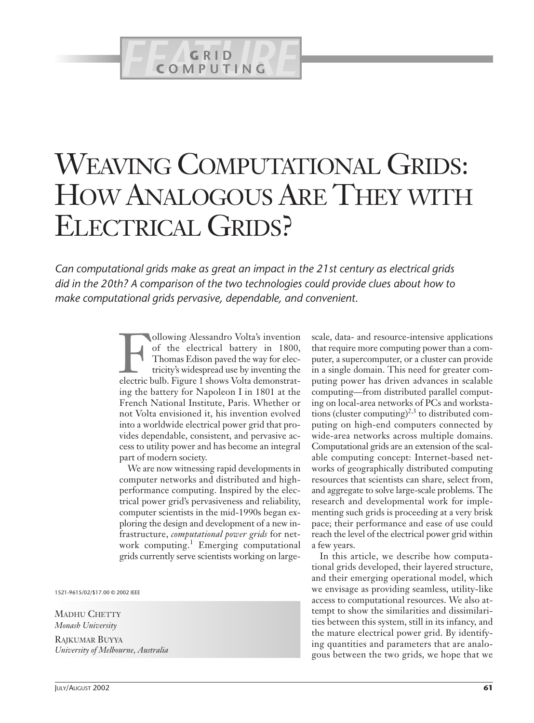# WEAVING COMPUTATIONAL GRIDS: HOW ANALOGOUS ARE THEY WITH ELECTRICAL GRIDS?

*Can computational grids make as great an impact in the 21st century as electrical grids did in the 20th? A comparison of the two technologies could provide clues about how to make computational grids pervasive, dependable, and convenient.*

> Following Alessandro Volta's invention<br>of the electrical battery in 1800,<br>Thomas Edison paved the way for elec-<br>tricity's widespread use by inventing the<br>electric bulb. Figure 1 shows Volta demonstratof the electrical battery in 1800, Thomas Edison paved the way for electricity's widespread use by inventing the ing the battery for Napoleon I in 1801 at the French National Institute, Paris. Whether or not Volta envisioned it, his invention evolved into a worldwide electrical power grid that provides dependable, consistent, and pervasive access to utility power and has become an integral part of modern society.

**FEATURE C OMPUTING**

We are now witnessing rapid developments in computer networks and distributed and highperformance computing. Inspired by the electrical power grid's pervasiveness and reliability, computer scientists in the mid-1990s began exploring the design and development of a new infrastructure, *computational power grids* for network computing.<sup>1</sup> Emerging computational grids currently serve scientists working on large-

#### 1521-9615/02/\$17.00 © 2002 IEEE

MADHU CHETTY *Monash University*

RAJKUMAR BUYYA *University of Melbourne, Australia* scale, data- and resource-intensive applications that require more computing power than a computer, a supercomputer, or a cluster can provide in a single domain. This need for greater computing power has driven advances in scalable computing—from distributed parallel computing on local-area networks of PCs and workstations (cluster computing)<sup>2,3</sup> to distributed computing on high-end computers connected by wide-area networks across multiple domains. Computational grids are an extension of the scalable computing concept: Internet-based networks of geographically distributed computing resources that scientists can share, select from, and aggregate to solve large-scale problems. The research and developmental work for implementing such grids is proceeding at a very brisk pace; their performance and ease of use could reach the level of the electrical power grid within a few years.

In this article, we describe how computational grids developed, their layered structure, and their emerging operational model, which we envisage as providing seamless, utility-like access to computational resources. We also attempt to show the similarities and dissimilarities between this system, still in its infancy, and the mature electrical power grid. By identifying quantities and parameters that are analogous between the two grids, we hope that we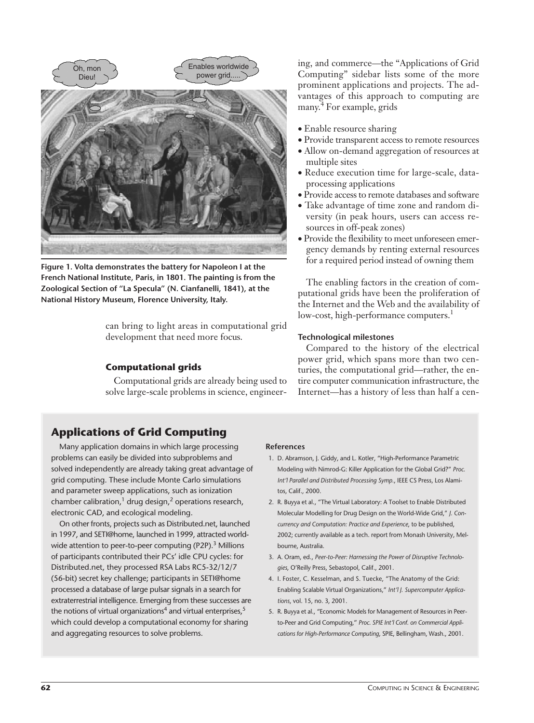

**Figure 1. Volta demonstrates the battery for Napoleon I at the French National Institute, Paris, in 1801. The painting is from the Zoological Section of "La Specula" (N. Cianfanelli, 1841), at the National History Museum, Florence University, Italy.**

can bring to light areas in computational grid development that need more focus.

## **Computational grids**

Computational grids are already being used to solve large-scale problems in science, engineering, and commerce—the "Applications of Grid Computing" sidebar lists some of the more prominent applications and projects. The advantages of this approach to computing are many.<sup>4</sup> For example, grids

- Enable resource sharing
- Provide transparent access to remote resources
- Allow on-demand aggregation of resources at multiple sites
- Reduce execution time for large-scale, dataprocessing applications
- Provide access to remote databases and software
- Take advantage of time zone and random diversity (in peak hours, users can access resources in off-peak zones)
- Provide the flexibility to meet unforeseen emergency demands by renting external resources for a required period instead of owning them

The enabling factors in the creation of computational grids have been the proliferation of the Internet and the Web and the availability of low-cost, high-performance computers.<sup>1</sup>

#### **Technological milestones**

Compared to the history of the electrical power grid, which spans more than two centuries, the computational grid—rather, the entire computer communication infrastructure, the Internet—has a history of less than half a cen-

# **Applications of Grid Computing**

Many application domains in which large processing problems can easily be divided into subproblems and solved independently are already taking great advantage of grid computing. These include Monte Carlo simulations and parameter sweep applications, such as ionization chamber calibration,<sup>1</sup> drug design,<sup>2</sup> operations research, electronic CAD, and ecological modeling.

On other fronts, projects such as Distributed.net, launched in 1997, and SETI@home, launched in 1999, attracted worldwide attention to peer-to-peer computing (P2P). $3$  Millions of participants contributed their PCs' idle CPU cycles: for Distributed.net, they processed RSA Labs RC5-32/12/7 (56-bit) secret key challenge; participants in SETI@home processed a database of large pulsar signals in a search for extraterrestrial intelligence. Emerging from these successes are the notions of virtual organizations<sup>4</sup> and virtual enterprises,<sup>5</sup> which could develop a computational economy for sharing and aggregating resources to solve problems.

#### **References**

- 1. D. Abramson, J. Giddy, and L. Kotler, "High-Performance Parametric Modeling with Nimrod-G: Killer Application for the Global Grid?" *Proc. Int'l Parallel and Distributed Processing Symp.*, IEEE CS Press, Los Alamitos, Calif., 2000.
- 2. R. Buyya et al., "The Virtual Laboratory: A Toolset to Enable Distributed Molecular Modelling for Drug Design on the World-Wide Grid," *J. Concurrency and Computation: Practice and Experience*, to be published, 2002; currently available as a tech. report from Monash University, Melbourne, Australia.
- 3. A. Oram, ed., *Peer-to-Peer: Harnessing the Power of Disruptive Technologies*, O'Reilly Press, Sebastopol, Calif., 2001.
- 4. I. Foster, C. Kesselman, and S. Tuecke, "The Anatomy of the Grid: Enabling Scalable Virtual Organizations," *Int'l J. Supercomputer Applications*, vol. 15, no. 3, 2001.
- 5. R. Buyya et al., "Economic Models for Management of Resources in Peerto-Peer and Grid Computing," *Proc. SPIE Int'l Conf. on Commercial Applications for High-Performance Computing*, SPIE, Bellingham, Wash., 2001.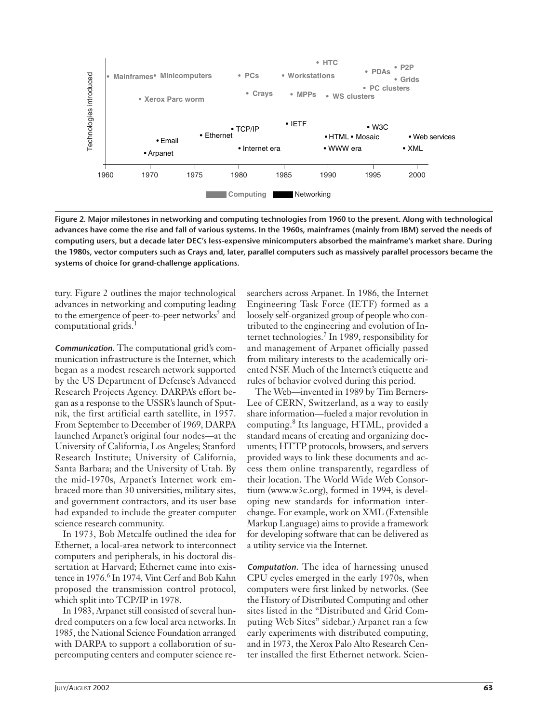

**Figure 2. Major milestones in networking and computing technologies from 1960 to the present. Along with technological advances have come the rise and fall of various systems. In the 1960s, mainframes (mainly from IBM) served the needs of computing users, but a decade later DEC's less-expensive minicomputers absorbed the mainframe's market share. During the 1980s, vector computers such as Crays and, later, parallel computers such as massively parallel processors became the systems of choice for grand-challenge applications.**

tury. Figure 2 outlines the major technological advances in networking and computing leading to the emergence of peer-to-peer networks<sup>5</sup> and computational grids.<sup>1</sup>

*Communication.* The computational grid's communication infrastructure is the Internet, which began as a modest research network supported by the US Department of Defense's Advanced Research Projects Agency. DARPA's effort began as a response to the USSR's launch of Sputnik, the first artificial earth satellite, in 1957. From September to December of 1969, DARPA launched Arpanet's original four nodes—at the University of California, Los Angeles; Stanford Research Institute; University of California, Santa Barbara; and the University of Utah. By the mid-1970s, Arpanet's Internet work embraced more than 30 universities, military sites, and government contractors, and its user base had expanded to include the greater computer science research community.

In 1973, Bob Metcalfe outlined the idea for Ethernet, a local-area network to interconnect computers and peripherals, in his doctoral dissertation at Harvard; Ethernet came into existence in 1976.<sup>6</sup> In 1974, Vint Cerf and Bob Kahn proposed the transmission control protocol, which split into TCP/IP in 1978.

In 1983, Arpanet still consisted of several hundred computers on a few local area networks. In 1985, the National Science Foundation arranged with DARPA to support a collaboration of supercomputing centers and computer science researchers across Arpanet. In 1986, the Internet Engineering Task Force (IETF) formed as a loosely self-organized group of people who contributed to the engineering and evolution of Internet technologies.<sup>7</sup> In 1989, responsibility for and management of Arpanet officially passed from military interests to the academically oriented NSF. Much of the Internet's etiquette and rules of behavior evolved during this period.

The Web—invented in 1989 by Tim Berners-Lee of CERN, Switzerland, as a way to easily share information—fueled a major revolution in computing.<sup>8</sup> Its language, HTML, provided a standard means of creating and organizing documents; HTTP protocols, browsers, and servers provided ways to link these documents and access them online transparently, regardless of their location. The World Wide Web Consortium (www.w3c.org), formed in 1994, is developing new standards for information interchange. For example, work on XML (Extensible Markup Language) aims to provide a framework for developing software that can be delivered as a utility service via the Internet.

*Computation.* The idea of harnessing unused CPU cycles emerged in the early 1970s, when computers were first linked by networks. (See the History of Distributed Computing and other sites listed in the "Distributed and Grid Computing Web Sites" sidebar.) Arpanet ran a few early experiments with distributed computing, and in 1973, the Xerox Palo Alto Research Center installed the first Ethernet network. Scien-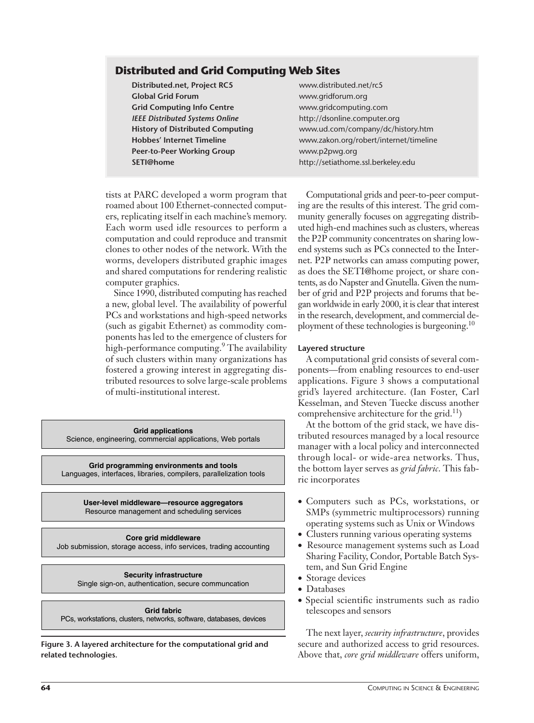# **Distributed and Grid Computing Web Sites**

**Distributed.net, Project RC5** www.distributed.net/rc5 **Global Grid Forum** www.gridforum.org **Grid Computing Info Centre** www.gridcomputing.com *IEEE Distributed Systems Online* http://dsonline.computer.org Peer-to-Peer Working Group **WARES WARES** www.p2pwg.org **SETI@home** http://setiathome.ssl.berkeley.edu

tists at PARC developed a worm program that roamed about 100 Ethernet-connected computers, replicating itself in each machine's memory. Each worm used idle resources to perform a computation and could reproduce and transmit clones to other nodes of the network. With the worms, developers distributed graphic images and shared computations for rendering realistic computer graphics.

Since 1990, distributed computing has reached a new, global level. The availability of powerful PCs and workstations and high-speed networks (such as gigabit Ethernet) as commodity components has led to the emergence of clusters for high-performance computing.<sup>9</sup> The availability of such clusters within many organizations has fostered a growing interest in aggregating distributed resources to solve large-scale problems of multi-institutional interest.

#### **Grid applications**

Science, engineering, commercial applications, Web portals

**Grid programming environments and tools** Languages, interfaces, libraries, compilers, parallelization tools

> **User-level middleware—resource aggregators** Resource management and scheduling services

**Core grid middleware** Job submission, storage access, info services, trading accounting

**Security infrastructure** Single sign-on, authentication, secure communcation

**Grid fabric** PCs, workstations, clusters, networks, software, databases, devices

**Figure 3. A layered architecture for the computational grid and related technologies.**

**History of Distributed Computing** www.ud.com/company/dc/history.htm **Hobbes' Internet Timeline** www.zakon.org/robert/internet/timeline

> Computational grids and peer-to-peer computing are the results of this interest. The grid community generally focuses on aggregating distributed high-end machines such as clusters, whereas the P2P community concentrates on sharing lowend systems such as PCs connected to the Internet. P2P networks can amass computing power, as does the SETI@home project, or share contents, as do Napster and Gnutella. Given the number of grid and P2P projects and forums that began worldwide in early 2000, it is clear that interest in the research, development, and commercial deployment of these technologies is burgeoning.<sup>10</sup>

#### **Layered structure**

A computational grid consists of several components—from enabling resources to end-user applications. Figure 3 shows a computational grid's layered architecture. (Ian Foster, Carl Kesselman, and Steven Tuecke discuss another comprehensive architecture for the grid.<sup>11</sup>)

At the bottom of the grid stack, we have distributed resources managed by a local resource manager with a local policy and interconnected through local- or wide-area networks. Thus, the bottom layer serves as *grid fabric*. This fabric incorporates

- Computers such as PCs, workstations, or SMPs (symmetric multiprocessors) running operating systems such as Unix or Windows
- Clusters running various operating systems
- Resource management systems such as Load Sharing Facility, Condor, Portable Batch System, and Sun Grid Engine
- Storage devices
- Databases
- Special scientific instruments such as radio telescopes and sensors

The next layer, *security infrastructure*, provides secure and authorized access to grid resources. Above that, *core grid middleware* offers uniform,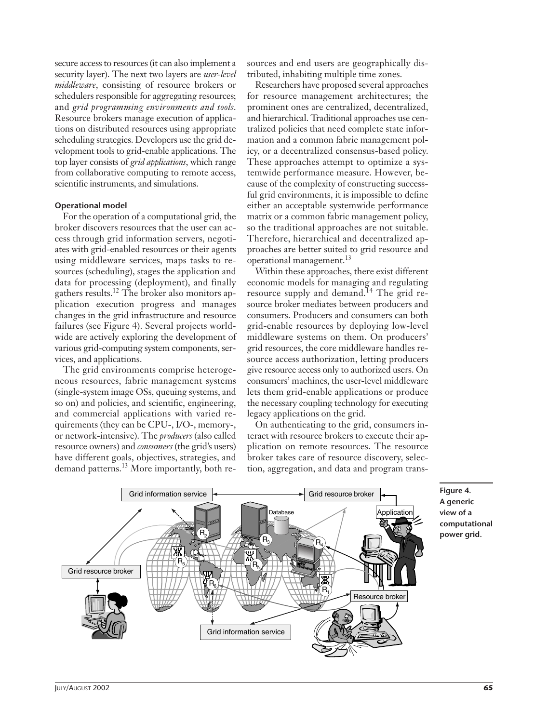secure access to resources (it can also implement a security layer). The next two layers are *user-level middleware*, consisting of resource brokers or schedulers responsible for aggregating resources; and *grid programming environments and tools*. Resource brokers manage execution of applications on distributed resources using appropriate scheduling strategies. Developers use the grid development tools to grid-enable applications. The top layer consists of *grid applications*, which range from collaborative computing to remote access, scientific instruments, and simulations.

#### **Operational model**

For the operation of a computational grid, the broker discovers resources that the user can access through grid information servers, negotiates with grid-enabled resources or their agents using middleware services, maps tasks to resources (scheduling), stages the application and data for processing (deployment), and finally gathers results.<sup>12</sup> The broker also monitors application execution progress and manages changes in the grid infrastructure and resource failures (see Figure 4). Several projects worldwide are actively exploring the development of various grid-computing system components, services, and applications.

The grid environments comprise heterogeneous resources, fabric management systems (single-system image OSs, queuing systems, and so on) and policies, and scientific, engineering, and commercial applications with varied requirements (they can be CPU-, I/O-, memory-, or network-intensive). The *producers* (also called resource owners) and *consumers* (the grid's users) have different goals, objectives, strategies, and demand patterns.<sup>13</sup> More importantly, both resources and end users are geographically distributed, inhabiting multiple time zones.

Researchers have proposed several approaches for resource management architectures; the prominent ones are centralized, decentralized, and hierarchical. Traditional approaches use centralized policies that need complete state information and a common fabric management policy, or a decentralized consensus-based policy. These approaches attempt to optimize a systemwide performance measure. However, because of the complexity of constructing successful grid environments, it is impossible to define either an acceptable systemwide performance matrix or a common fabric management policy, so the traditional approaches are not suitable. Therefore, hierarchical and decentralized approaches are better suited to grid resource and operational management.<sup>13</sup>

Within these approaches, there exist different economic models for managing and regulating resource supply and demand.<sup>14</sup> The grid resource broker mediates between producers and consumers. Producers and consumers can both grid-enable resources by deploying low-level middleware systems on them. On producers' grid resources, the core middleware handles resource access authorization, letting producers give resource access only to authorized users. On consumers' machines, the user-level middleware lets them grid-enable applications or produce the necessary coupling technology for executing legacy applications on the grid.

On authenticating to the grid, consumers interact with resource brokers to execute their application on remote resources. The resource broker takes care of resource discovery, selection, aggregation, and data and program trans-



#### **Figure 4. A generic view of a computational power grid.**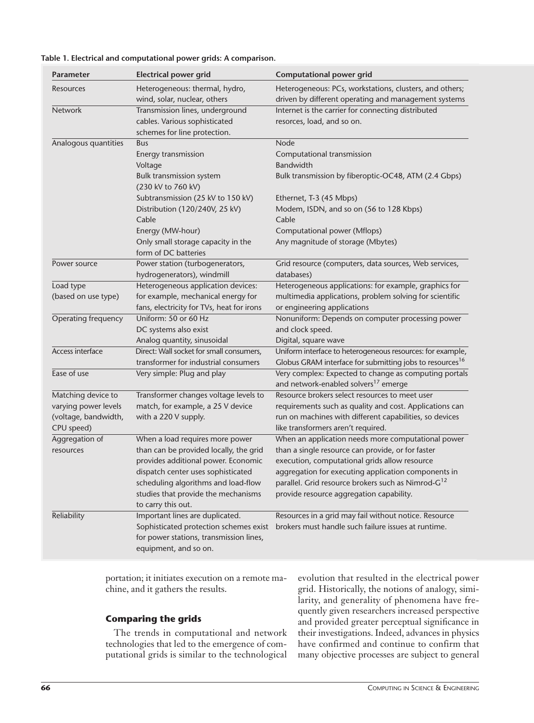| Parameter            | <b>Electrical power grid</b>                                                                               | <b>Computational power grid</b>                                                                                 |
|----------------------|------------------------------------------------------------------------------------------------------------|-----------------------------------------------------------------------------------------------------------------|
| <b>Resources</b>     | Heterogeneous: thermal, hydro,<br>wind, solar, nuclear, others                                             | Heterogeneous: PCs, workstations, clusters, and others;<br>driven by different operating and management systems |
| Network              | Transmission lines, underground                                                                            | Internet is the carrier for connecting distributed                                                              |
|                      | cables. Various sophisticated                                                                              | resorces, load, and so on.                                                                                      |
|                      | schemes for line protection.                                                                               |                                                                                                                 |
| Analogous quantities | <b>Bus</b>                                                                                                 | Node                                                                                                            |
|                      | Energy transmission                                                                                        | Computational transmission                                                                                      |
|                      | Voltage                                                                                                    | <b>Bandwidth</b>                                                                                                |
|                      | <b>Bulk transmission system</b>                                                                            | Bulk transmission by fiberoptic-OC48, ATM (2.4 Gbps)                                                            |
|                      | (230 kV to 760 kV)                                                                                         |                                                                                                                 |
|                      | Subtransmission (25 kV to 150 kV)                                                                          | Ethernet, T-3 (45 Mbps)                                                                                         |
|                      | Distribution (120/240V, 25 kV)                                                                             | Modem, ISDN, and so on (56 to 128 Kbps)                                                                         |
|                      | Cable                                                                                                      | Cable                                                                                                           |
|                      | Energy (MW-hour)                                                                                           | <b>Computational power (Mflops)</b>                                                                             |
|                      | Only small storage capacity in the<br>form of DC batteries                                                 | Any magnitude of storage (Mbytes)                                                                               |
| Power source         | Power station (turbogenerators,                                                                            | Grid resource (computers, data sources, Web services,                                                           |
|                      | hydrogenerators), windmill                                                                                 | databases)                                                                                                      |
| Load type            | Heterogeneous application devices:                                                                         | Heterogeneous applications: for example, graphics for                                                           |
| (based on use type)  | for example, mechanical energy for                                                                         | multimedia applications, problem solving for scientific                                                         |
|                      | fans, electricity for TVs, heat for irons                                                                  | or engineering applications                                                                                     |
| Operating frequency  | Uniform: 50 or 60 Hz                                                                                       | Nonuniform: Depends on computer processing power                                                                |
|                      | DC systems also exist                                                                                      | and clock speed.                                                                                                |
|                      | Analog quantity, sinusoidal                                                                                | Digital, square wave                                                                                            |
| Access interface     | Direct: Wall socket for small consumers,                                                                   | Uniform interface to heterogeneous resources: for example,                                                      |
|                      | transformer for industrial consumers                                                                       | Globus GRAM interface for submitting jobs to resources <sup>16</sup>                                            |
| Ease of use          | Very simple: Plug and play                                                                                 | Very complex: Expected to change as computing portals<br>and network-enabled solvers <sup>17</sup> emerge       |
| Matching device to   | Transformer changes voltage levels to                                                                      | Resource brokers select resources to meet user                                                                  |
| varying power levels | match, for example, a 25 V device                                                                          | requirements such as quality and cost. Applications can                                                         |
| (voltage, bandwidth, | with a 220 V supply.                                                                                       | run on machines with different capabilities, so devices                                                         |
| CPU speed)           |                                                                                                            | like transformers aren't required.                                                                              |
| Aggregation of       | When a load requires more power                                                                            | When an application needs more computational power                                                              |
| resources            | than can be provided locally, the grid                                                                     | than a single resource can provide, or for faster                                                               |
|                      | provides additional power. Economic                                                                        | execution, computational grids allow resource                                                                   |
|                      | dispatch center uses sophisticated                                                                         | aggregation for executing application components in                                                             |
|                      | scheduling algorithms and load-flow                                                                        | parallel. Grid resource brokers such as Nimrod-G <sup>12</sup>                                                  |
|                      | studies that provide the mechanisms                                                                        | provide resource aggregation capability.                                                                        |
|                      | to carry this out.                                                                                         |                                                                                                                 |
| Reliability          | Important lines are duplicated.                                                                            | Resources in a grid may fail without notice. Resource                                                           |
|                      | Sophisticated protection schemes exist<br>for power stations, transmission lines,<br>equipment, and so on. | brokers must handle such failure issues at runtime.                                                             |

#### **Table 1. Electrical and computational power grids: A comparison.**

portation; it initiates execution on a remote machine, and it gathers the results.

#### **Comparing the grids**

The trends in computational and network technologies that led to the emergence of computational grids is similar to the technological

evolution that resulted in the electrical power grid. Historically, the notions of analogy, similarity, and generality of phenomena have frequently given researchers increased perspective and provided greater perceptual significance in their investigations. Indeed, advances in physics have confirmed and continue to confirm that many objective processes are subject to general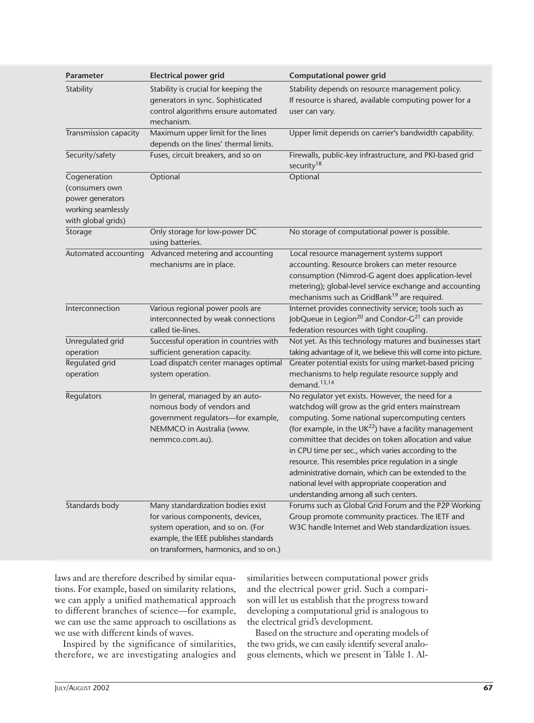| Parameter                                                                                      | <b>Electrical power grid</b>                                                                                                                                                                   | <b>Computational power grid</b>                                                                                                                                                                                                                                                                                                                                                                                                                                                                                                                   |
|------------------------------------------------------------------------------------------------|------------------------------------------------------------------------------------------------------------------------------------------------------------------------------------------------|---------------------------------------------------------------------------------------------------------------------------------------------------------------------------------------------------------------------------------------------------------------------------------------------------------------------------------------------------------------------------------------------------------------------------------------------------------------------------------------------------------------------------------------------------|
| Stability                                                                                      | Stability is crucial for keeping the<br>generators in sync. Sophisticated<br>control algorithms ensure automated<br>mechanism.                                                                 | Stability depends on resource management policy.<br>If resource is shared, available computing power for a<br>user can vary.                                                                                                                                                                                                                                                                                                                                                                                                                      |
| Transmission capacity                                                                          | Maximum upper limit for the lines<br>depends on the lines' thermal limits.                                                                                                                     | Upper limit depends on carrier's bandwidth capability.                                                                                                                                                                                                                                                                                                                                                                                                                                                                                            |
| Security/safety                                                                                | Fuses, circuit breakers, and so on                                                                                                                                                             | Firewalls, public-key infrastructure, and PKI-based grid<br>security <sup>18</sup>                                                                                                                                                                                                                                                                                                                                                                                                                                                                |
| Cogeneration<br>(consumers own<br>power generators<br>working seamlessly<br>with global grids) | Optional                                                                                                                                                                                       | Optional                                                                                                                                                                                                                                                                                                                                                                                                                                                                                                                                          |
| Storage                                                                                        | Only storage for low-power DC<br>using batteries.                                                                                                                                              | No storage of computational power is possible.                                                                                                                                                                                                                                                                                                                                                                                                                                                                                                    |
| Automated accounting                                                                           | Advanced metering and accounting<br>mechanisms are in place.                                                                                                                                   | Local resource management systems support<br>accounting. Resource brokers can meter resource<br>consumption (Nimrod-G agent does application-level<br>metering); global-level service exchange and accounting<br>mechanisms such as GridBank <sup>19</sup> are required.                                                                                                                                                                                                                                                                          |
| Interconnection                                                                                | Various regional power pools are<br>interconnected by weak connections<br>called tie-lines.                                                                                                    | Internet provides connectivity service; tools such as<br>JobQueue in Legion <sup>20</sup> and Condor-G <sup>21</sup> can provide<br>federation resources with tight coupling.                                                                                                                                                                                                                                                                                                                                                                     |
| Unregulated grid<br>operation<br><b>Regulated grid</b><br>operation                            | Successful operation in countries with<br>sufficient generation capacity.<br>Load dispatch center manages optimal<br>system operation.                                                         | Not yet. As this technology matures and businesses start<br>taking advantage of it, we believe this will come into picture.<br>Greater potential exists for using market-based pricing<br>mechanisms to help regulate resource supply and<br>demand. $13,14$                                                                                                                                                                                                                                                                                      |
| Regulators                                                                                     | In general, managed by an auto-<br>nomous body of vendors and<br>government regulators-for example,<br>NEMMCO in Australia (www.<br>nemmco.com.au).                                            | No regulator yet exists. However, the need for a<br>watchdog will grow as the grid enters mainstream<br>computing. Some national supercomputing centers<br>(for example, in the $UK^{22}$ ) have a facility management<br>committee that decides on token allocation and value<br>in CPU time per sec., which varies according to the<br>resource. This resembles price regulation in a single<br>administrative domain, which can be extended to the<br>national level with appropriate cooperation and<br>understanding among all such centers. |
| Standards body                                                                                 | Many standardization bodies exist<br>for various components, devices,<br>system operation, and so on. (For<br>example, the IEEE publishes standards<br>on transformers, harmonics, and so on.) | Forums such as Global Grid Forum and the P2P Working<br>Group promote community practices. The IETF and<br>W3C handle Internet and Web standardization issues.                                                                                                                                                                                                                                                                                                                                                                                    |

laws and are therefore described by similar equations. For example, based on similarity relations, we can apply a unified mathematical approach to different branches of science—for example, we can use the same approach to oscillations as we use with different kinds of waves.

similarities between computational power grids and the electrical power grid. Such a comparison will let us establish that the progress toward developing a computational grid is analogous to the electrical grid's development.

Inspired by the significance of similarities, therefore, we are investigating analogies and

Based on the structure and operating models of the two grids, we can easily identify several analogous elements, which we present in Table 1. Al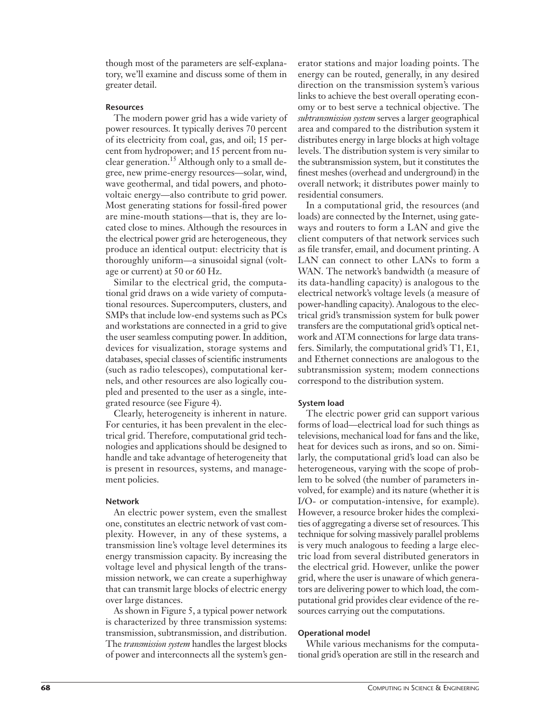though most of the parameters are self-explanatory, we'll examine and discuss some of them in greater detail.

#### **Resources**

The modern power grid has a wide variety of power resources. It typically derives 70 percent of its electricity from coal, gas, and oil; 15 percent from hydropower; and 15 percent from nuclear generation.<sup>15</sup> Although only to a small degree, new prime-energy resources—solar, wind, wave geothermal, and tidal powers, and photovoltaic energy—also contribute to grid power. Most generating stations for fossil-fired power are mine-mouth stations—that is, they are located close to mines. Although the resources in the electrical power grid are heterogeneous, they produce an identical output: electricity that is thoroughly uniform—a sinusoidal signal (voltage or current) at 50 or 60 Hz.

Similar to the electrical grid, the computational grid draws on a wide variety of computational resources. Supercomputers, clusters, and SMPs that include low-end systems such as PCs and workstations are connected in a grid to give the user seamless computing power. In addition, devices for visualization, storage systems and databases, special classes of scientific instruments (such as radio telescopes), computational kernels, and other resources are also logically coupled and presented to the user as a single, integrated resource (see Figure 4).

Clearly, heterogeneity is inherent in nature. For centuries, it has been prevalent in the electrical grid. Therefore, computational grid technologies and applications should be designed to handle and take advantage of heterogeneity that is present in resources, systems, and management policies.

#### **Network**

An electric power system, even the smallest one, constitutes an electric network of vast complexity. However, in any of these systems, a transmission line's voltage level determines its energy transmission capacity. By increasing the voltage level and physical length of the transmission network, we can create a superhighway that can transmit large blocks of electric energy over large distances.

As shown in Figure 5, a typical power network is characterized by three transmission systems: transmission, subtransmission, and distribution. The *transmission system* handles the largest blocks of power and interconnects all the system's generator stations and major loading points. The energy can be routed, generally, in any desired direction on the transmission system's various links to achieve the best overall operating economy or to best serve a technical objective. The *subtransmission system* serves a larger geographical area and compared to the distribution system it distributes energy in large blocks at high voltage levels. The distribution system is very similar to the subtransmission system, but it constitutes the finest meshes (overhead and underground) in the overall network; it distributes power mainly to residential consumers.

In a computational grid, the resources (and loads) are connected by the Internet, using gateways and routers to form a LAN and give the client computers of that network services such as file transfer, email, and document printing. A LAN can connect to other LANs to form a WAN. The network's bandwidth (a measure of its data-handling capacity) is analogous to the electrical network's voltage levels (a measure of power-handling capacity). Analogous to the electrical grid's transmission system for bulk power transfers are the computational grid's optical network and ATM connections for large data transfers. Similarly, the computational grid's T1, E1, and Ethernet connections are analogous to the subtransmission system; modem connections correspond to the distribution system.

#### **System load**

The electric power grid can support various forms of load—electrical load for such things as televisions, mechanical load for fans and the like, heat for devices such as irons, and so on. Similarly, the computational grid's load can also be heterogeneous, varying with the scope of problem to be solved (the number of parameters involved, for example) and its nature (whether it is I/O- or computation-intensive, for example). However, a resource broker hides the complexities of aggregating a diverse set of resources. This technique for solving massively parallel problems is very much analogous to feeding a large electric load from several distributed generators in the electrical grid. However, unlike the power grid, where the user is unaware of which generators are delivering power to which load, the computational grid provides clear evidence of the resources carrying out the computations.

#### **Operational model**

While various mechanisms for the computational grid's operation are still in the research and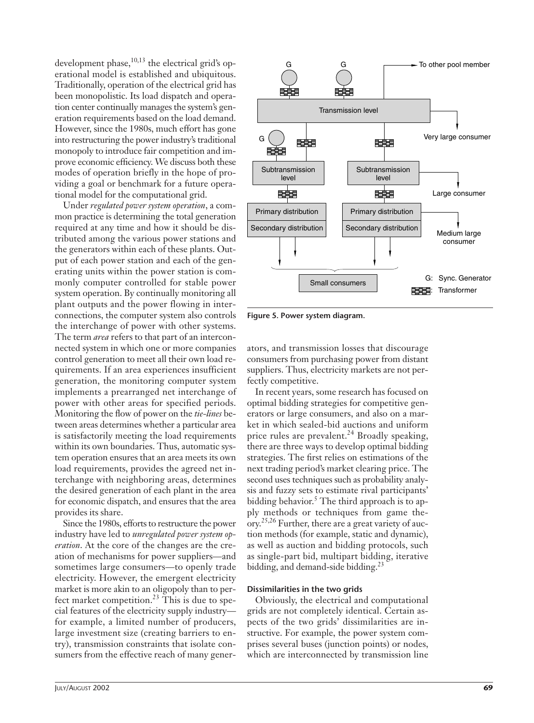development phase, $10,13$  the electrical grid's operational model is established and ubiquitous. Traditionally, operation of the electrical grid has been monopolistic. Its load dispatch and operation center continually manages the system's generation requirements based on the load demand. However, since the 1980s, much effort has gone into restructuring the power industry's traditional monopoly to introduce fair competition and improve economic efficiency. We discuss both these modes of operation briefly in the hope of providing a goal or benchmark for a future operational model for the computational grid.

Under *regulated power system operation*, a common practice is determining the total generation required at any time and how it should be distributed among the various power stations and the generators within each of these plants. Output of each power station and each of the generating units within the power station is commonly computer controlled for stable power system operation. By continually monitoring all plant outputs and the power flowing in interconnections, the computer system also controls the interchange of power with other systems. The term *area* refers to that part of an interconnected system in which one or more companies control generation to meet all their own load requirements. If an area experiences insufficient generation, the monitoring computer system implements a prearranged net interchange of power with other areas for specified periods. Monitoring the flow of power on the *tie-lines* between areas determines whether a particular area is satisfactorily meeting the load requirements within its own boundaries. Thus, automatic system operation ensures that an area meets its own load requirements, provides the agreed net interchange with neighboring areas, determines the desired generation of each plant in the area for economic dispatch, and ensures that the area provides its share.

Since the 1980s, efforts to restructure the power industry have led to *unregulated power system operation*. At the core of the changes are the creation of mechanisms for power suppliers—and sometimes large consumers—to openly trade electricity. However, the emergent electricity market is more akin to an oligopoly than to perfect market competition.<sup>23</sup> This is due to special features of the electricity supply industry for example, a limited number of producers, large investment size (creating barriers to entry), transmission constraints that isolate consumers from the effective reach of many gener-



**Figure 5. Power system diagram.**

ators, and transmission losses that discourage consumers from purchasing power from distant suppliers. Thus, electricity markets are not perfectly competitive.

In recent years, some research has focused on optimal bidding strategies for competitive generators or large consumers, and also on a market in which sealed-bid auctions and uniform price rules are prevalent.<sup>24</sup> Broadly speaking, there are three ways to develop optimal bidding strategies. The first relies on estimations of the next trading period's market clearing price. The second uses techniques such as probability analysis and fuzzy sets to estimate rival participants' bidding behavior.<sup>5</sup> The third approach is to apply methods or techniques from game theory.25,26 Further, there are a great variety of auction methods (for example, static and dynamic), as well as auction and bidding protocols, such as single-part bid, multipart bidding, iterative bidding, and demand-side bidding.<sup>23</sup>

#### **Dissimilarities in the two grids**

Obviously, the electrical and computational grids are not completely identical. Certain aspects of the two grids' dissimilarities are instructive. For example, the power system comprises several buses (junction points) or nodes, which are interconnected by transmission line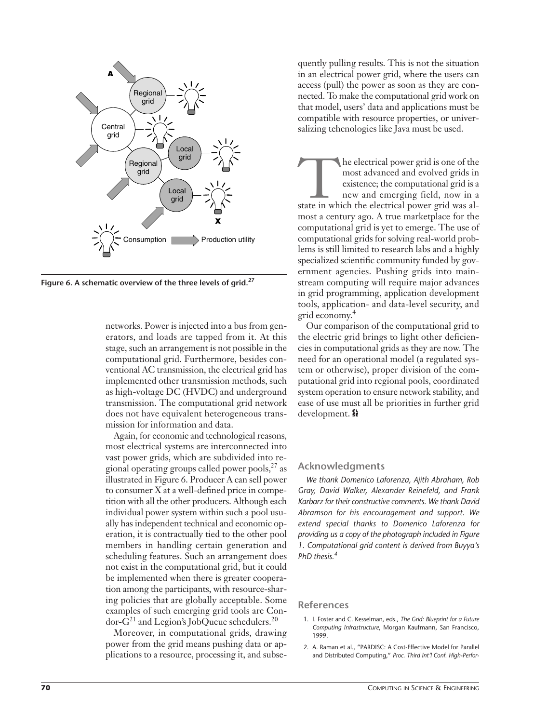

**Figure 6. A schematic overview of the three levels of grid.27**

networks. Power is injected into a bus from generators, and loads are tapped from it. At this stage, such an arrangement is not possible in the computational grid. Furthermore, besides conventional AC transmission, the electrical grid has implemented other transmission methods, such as high-voltage DC (HVDC) and underground transmission. The computational grid network does not have equivalent heterogeneous transmission for information and data.

Again, for economic and technological reasons, most electrical systems are interconnected into vast power grids, which are subdivided into regional operating groups called power pools, $^{27}$  as illustrated in Figure 6. Producer A can sell power to consumer X at a well-defined price in competition with all the other producers. Although each individual power system within such a pool usually has independent technical and economic operation, it is contractually tied to the other pool members in handling certain generation and scheduling features. Such an arrangement does not exist in the computational grid, but it could be implemented when there is greater cooperation among the participants, with resource-sharing policies that are globally acceptable. Some examples of such emerging grid tools are Condor-G21 and Legion's JobQueue schedulers.20

Moreover, in computational grids, drawing power from the grid means pushing data or applications to a resource, processing it, and subsequently pulling results. This is not the situation in an electrical power grid, where the users can access (pull) the power as soon as they are connected. To make the computational grid work on that model, users' data and applications must be compatible with resource properties, or universalizing tehcnologies like Java must be used.

The electrical power grid is one of the most advanced and evolved grids in existence; the computational grid is a new and emerging field, now in a state in which the electrical power grid was almost advanced and evolved grids in existence; the computational grid is a new and emerging field, now in a most a century ago. A true marketplace for the computational grid is yet to emerge. The use of computational grids for solving real-world problems is still limited to research labs and a highly specialized scientific community funded by government agencies. Pushing grids into mainstream computing will require major advances in grid programming, application development tools, application- and data-level security, and grid economy.<sup>4</sup>

Our comparison of the computational grid to the electric grid brings to light other deficiencies in computational grids as they are now. The need for an operational model (a regulated system or otherwise), proper division of the computational grid into regional pools, coordinated system operation to ensure network stability, and ease of use must all be priorities in further grid development.

#### **Acknowledgments**

*We thank Domenico Laforenza, Ajith Abraham, Rob Gray, David Walker, Alexander Reinefeld, and Frank Karbarz for their constructive comments. We thank David Abramson for his encouragement and support. We extend special thanks to Domenico Laforenza for providing us a copy of the photograph included in Figure 1. Computational grid content is derived from Buyya's PhD thesis.<sup>4</sup>*

### **References**

- 1. I. Foster and C. Kesselman, eds., *The Grid: Blueprint for a Future Computing Infrastructure*, Morgan Kaufmann, San Francisco, 1999.
- 2. A. Raman et al., "PARDISC: A Cost-Effective Model for Parallel and Distributed Computing," *Proc. Third Int'l Conf. High-Perfor-*